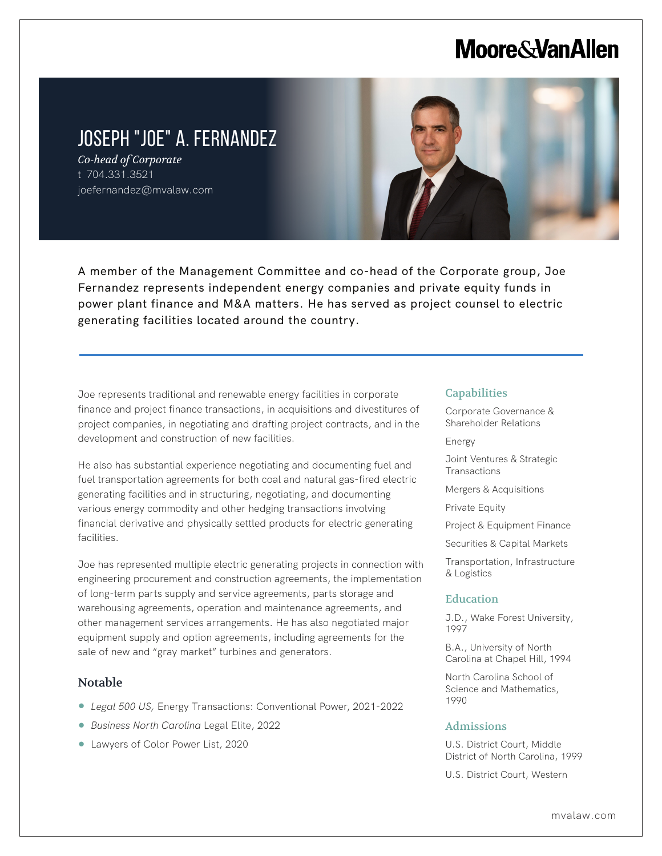# **Moore&VanAllen**

### JOSEPH "JOE" A. FERNANDEZ

*Co-head of Corporate* t 704.331.3521 joefernandez@mvalaw.com



A member of the Management Committee and co-head of the Corporate group, Joe Fernandez represents independent energy companies and private equity funds in power plant finance and M&A matters. He has served as project counsel to electric generating facilities located around the country.

Joe represents traditional and renewable energy facilities in corporate finance and project finance transactions, in acquisitions and divestitures of project companies, in negotiating and drafting project contracts, and in the development and construction of new facilities.

He also has substantial experience negotiating and documenting fuel and fuel transportation agreements for both coal and natural gas-fired electric generating facilities and in structuring, negotiating, and documenting various energy commodity and other hedging transactions involving financial derivative and physically settled products for electric generating facilities.

Joe has represented multiple electric generating projects in connection with engineering procurement and construction agreements, the implementation of long-term parts supply and service agreements, parts storage and warehousing agreements, operation and maintenance agreements, and other management services arrangements. He has also negotiated major equipment supply and option agreements, including agreements for the sale of new and "gray market" turbines and generators.

### Notable

L

- *Legal 500 US,* Energy Transactions: Conventional Power, 2021-2022
- *Business North Carolina* Legal Elite, 2022
- Lawyers of Color Power List, 2020

#### **Capabilities**

Corporate Governance & Shareholder Relations

Energy

Joint Ventures & Strategic **Transactions** 

Mergers & Acquisitions

Private Equity

Project & Equipment Finance

Securities & Capital Markets

Transportation, Infrastructure & Logistics

#### Education

J.D., Wake Forest University, 1997

B.A., University of North Carolina at Chapel Hill, 1994

North Carolina School of Science and Mathematics, 1990

#### Admissions

U.S. District Court, Middle District of North Carolina, 1999

U.S. District Court, Western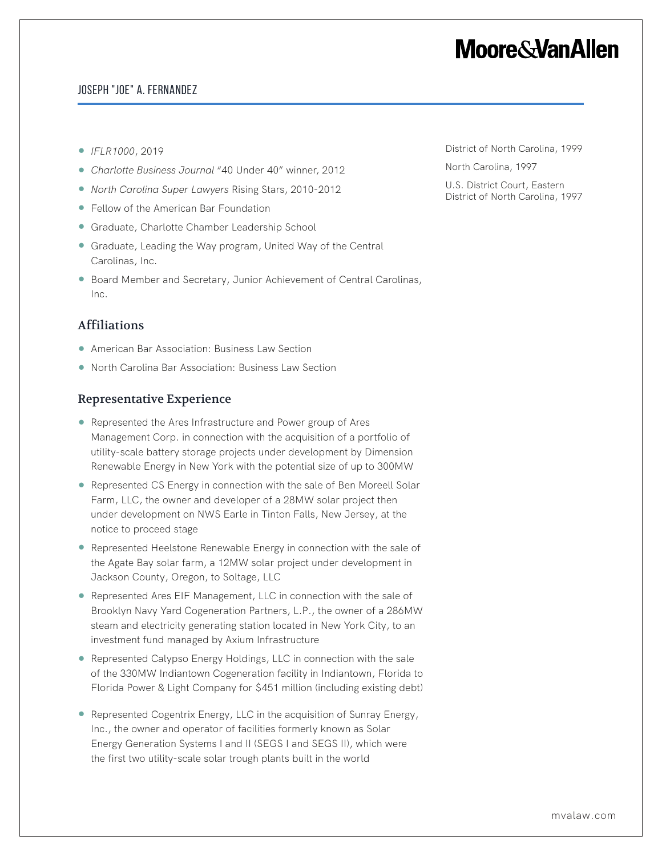# **Moore&VanAllen**

### Joseph "Joe" A. Fernandez

- *IFLR1000*, 2019
- *Charlotte Business Journal* "40 Under 40" winner, 2012
- *North Carolina Super Lawyers* Rising Stars, 2010-2012
- Fellow of the American Bar Foundation
- Graduate, Charlotte Chamber Leadership School
- Graduate, Leading the Way program, United Way of the Central Carolinas, Inc.
- Board Member and Secretary, Junior Achievement of Central Carolinas, Inc.

### Affiliations

- American Bar Association: Business Law Section
- North Carolina Bar Association: Business Law Section

### Representative Experience

- Represented the Ares Infrastructure and Power group of Ares Management Corp. in connection with the acquisition of a portfolio of utility-scale battery storage projects under development by Dimension Renewable Energy in New York with the potential size of up to 300MW
- Represented CS Energy in connection with the sale of Ben Moreell Solar Farm, LLC, the owner and developer of a 28MW solar project then under development on NWS Earle in Tinton Falls, New Jersey, at the notice to proceed stage
- Represented Heelstone Renewable Energy in connection with the sale of the Agate Bay solar farm, a 12MW solar project under development in Jackson County, Oregon, to Soltage, LLC
- Represented Ares EIF Management, LLC in connection with the sale of Brooklyn Navy Yard Cogeneration Partners, L.P., the owner of a 286MW steam and electricity generating station located in New York City, to an investment fund managed by Axium Infrastructure
- Represented Calypso Energy Holdings, LLC in connection with the sale of the 330MW Indiantown Cogeneration facility in Indiantown, Florida to Florida Power & Light Company for \$451 million (including existing debt)
- Represented Cogentrix Energy, LLC in the acquisition of Sunray Energy, Inc., the owner and operator of facilities formerly known as Solar Energy Generation Systems I and II (SEGS I and SEGS II), which were the first two utility-scale solar trough plants built in the world

District of North Carolina, 1999 North Carolina, 1997

U.S. District Court, Eastern

District of North Carolina, 1997